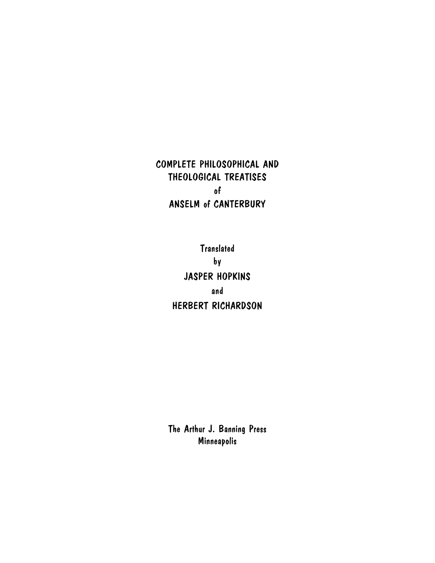# COMPLETE PHILOSOPHICAL AND THEOLOGICAL TREATISES of ANSELM of CANTERBURY

Translated by JASPER HOPKINS and HERBERT RICHARDSON

The Arthur J. Banning Press Minneapolis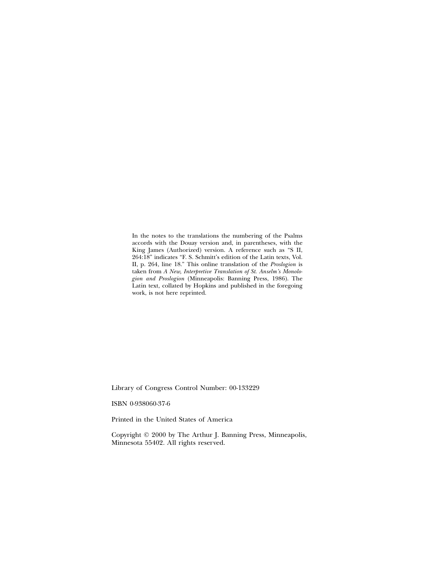In the notes to the translations the numbering of the Psalms accords with the Douay version and, in parentheses, with the King James (Authorized) version. A reference such as "S II, 264:18" indicates "F. S. Schmitt's edition of the Latin texts, Vol. II, p. 264, line 18." This online translation of the *Proslogion* is taken from *A New, Interpretive Translation of St. Anselm's Monologion and Proslogion* (Minneapolis: Banning Press, 1986). The Latin text, collated by Hopkins and published in the foregoing work, is not here reprinted.

Library of Congress Control Number: 00-133229

ISBN 0-938060-37-6

Printed in the United States of America

Copyright © 2000 by The Arthur J. Banning Press, Minneapolis, Minnesota 55402. All rights reserved.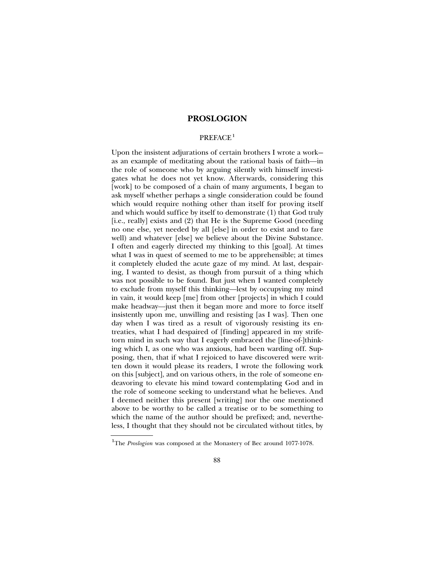# **PROSLOGION**

# PREFACE<sup>1</sup>

Upon the insistent adjurations of certain brothers I wrote a work as an example of meditating about the rational basis of faith—in the role of someone who by arguing silently with himself investigates what he does not yet know. Afterwards, considering this [work] to be composed of a chain of many arguments, I began to ask myself whether perhaps a single consideration could be found which would require nothing other than itself for proving itself and which would suffice by itself to demonstrate (1) that God truly [i.e., really] exists and (2) that He is the Supreme Good (needing no one else, yet needed by all [else] in order to exist and to fare well) and whatever [else] we believe about the Divine Substance. I often and eagerly directed my thinking to this [goal]. At times what I was in quest of seemed to me to be apprehensible; at times it completely eluded the acute gaze of my mind. At last, despairing, I wanted to desist, as though from pursuit of a thing which was not possible to be found. But just when I wanted completely to exclude from myself this thinking—lest by occupying my mind in vain, it would keep [me] from other [projects] in which I could make headway—just then it began more and more to force itself insistently upon me, unwilling and resisting [as I was]. Then one day when I was tired as a result of vigorously resisting its entreaties, what I had despaired of [finding] appeared in my strifetorn mind in such way that I eagerly embraced the [line-of-]thinking which I, as one who was anxious, had been warding off. Supposing, then, that if what I rejoiced to have discovered were written down it would please its readers, I wrote the following work on this [subject], and on various others, in the role of someone endeavoring to elevate his mind toward contemplating God and in the role of someone seeking to understand what he believes. And I deemed neither this present [writing] nor the one mentioned above to be worthy to be called a treatise or to be something to which the name of the author should be prefixed; and, nevertheless, I thought that they should not be circulated without titles, by

<sup>&</sup>lt;sup>1</sup>The *Proslogion* was composed at the Monastery of Bec around 1077-1078.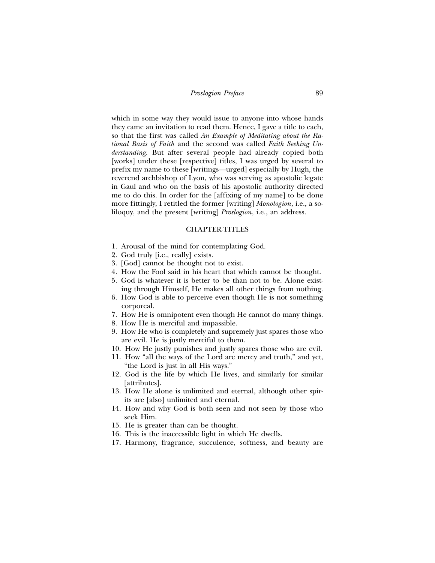which in some way they would issue to anyone into whose hands they came an invitation to read them. Hence, I gave a title to each, so that the first was called *An Example of Meditating about the Rational Basis of Faith* and the second was called *Faith Seeking Understanding.* But after several people had already copied both [works] under these [respective] titles, I was urged by several to prefix my name to these [writings—urged] especially by Hugh, the reverend archbishop of Lyon, who was serving as apostolic legate in Gaul and who on the basis of his apostolic authority directed me to do this. In order for the [affixing of my name] to be done more fittingly, I retitled the former [writing] *Monologion*, i.e., a soliloquy, and the present [writing] *Proslogion*, i.e., an address.

## CHAPTER-TITLES

- 1. Arousal of the mind for contemplating God.
- 2. God truly [i.e., really] exists.
- 3. [God] cannot be thought not to exist.
- 4. How the Fool said in his heart that which cannot be thought.
- 5. God is whatever it is better to be than not to be. Alone existing through Himself, He makes all other things from nothing.
- 6. How God is able to perceive even though He is not something corporeal.
- 7. How He is omnipotent even though He cannot do many things.
- 8. How He is merciful and impassible.
- 9. How He who is completely and supremely just spares those who are evil. He is justly merciful to them.
- 10. How He justly punishes and justly spares those who are evil.
- 11. How "all the ways of the Lord are mercy and truth," and yet, "the Lord is just in all His ways."
- 12. God is the life by which He lives, and similarly for similar [attributes].
- 13. How He alone is unlimited and eternal, although other spirits are [also] unlimited and eternal.
- 14. How and why God is both seen and not seen by those who seek Him.
- 15. He is greater than can be thought.
- 16. This is the inaccessible light in which He dwells.
- 17. Harmony, fragrance, succulence, softness, and beauty are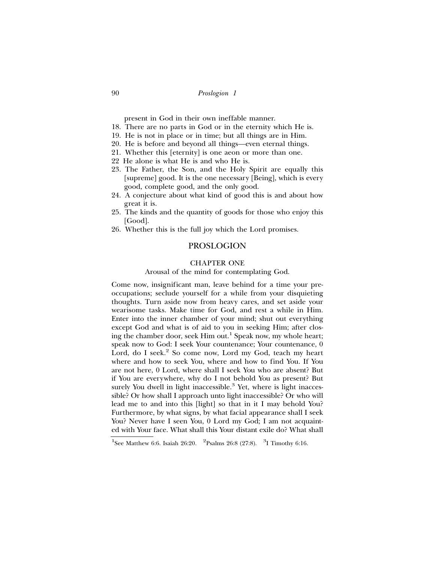present in God in their own ineffable manner.

- 18. There are no parts in God or in the eternity which He is.
- 19. He is not in place or in time; but all things are in Him.
- 20. He is before and beyond all things—even eternal things.
- 21. Whether this [eternity] is one aeon or more than one.
- 22 He alone is what He is and who He is.
- 23. The Father, the Son, and the Holy Spirit are equally this [supreme] good. It is the one necessary [Being], which is every good, complete good, and the only good.
- 24. A conjecture about what kind of good this is and about how great it is.
- 25. The kinds and the quantity of goods for those who enjoy this [Good].
- 26. Whether this is the full joy which the Lord promises.

# PROSLOGION

## CHAPTER ONE

#### Arousal of the mind for contemplating God.

Come now, insignificant man, leave behind for a time your preoccupations; seclude yourself for a while from your disquieting thoughts. Turn aside now from heavy cares, and set aside your wearisome tasks. Make time for God, and rest a while in Him. Enter into the inner chamber of your mind; shut out everything except God and what is of aid to you in seeking Him; after closing the chamber door, seek Him out.<sup>1</sup> Speak now, my whole heart; speak now to God: I seek Your countenance; Your countenance, 0 Lord, do I seek. $2$  So come now, Lord my God, teach my heart where and how to seek You, where and how to find You. If You are not here, 0 Lord, where shall I seek You who are absent? But if You are everywhere, why do I not behold You as present? But surely You dwell in light inaccessible.<sup>3</sup> Yet, where is light inaccessible? Or how shall I approach unto light inaccessible? Or who will lead me to and into this [light] so that in it I may behold You? Furthermore, by what signs, by what facial appearance shall I seek You? Never have I seen You, 0 Lord my God; I am not acquainted with Your face. What shall this Your distant exile do? What shall

<sup>&</sup>lt;sup>1</sup>See Matthew 6:6. Isaiah 26:20. <sup>2</sup>Psalms 26:8 (27:8). <sup>3</sup>I Timothy 6:16.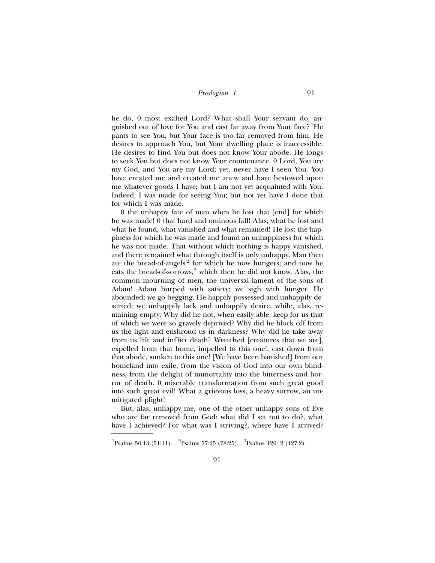he do, 0 most exalted Lord? What shall Your servant do, anguished out of love for You and cast far away from Your face?<sup>1</sup>He pants to see You, but Your face is too far removed from him. He desires to approach You, but Your dwelling place is inaccessible. He desires to find You but does not know Your abode. He longs to seek You but does not know Your countenance. 0 Lord, You are my God, and You are my Lord; yet, never have I seen You. You have created me and created me anew and have bestowed upon me whatever goods I have; but I am not yet acquainted with You. Indeed, I was made for seeing You; but not yet have I done that for which I was made.

0 the unhappy fate of man when he lost that [end] for which he was made! 0 that hard and ominous fall! Alas, what he lost and what he found, what vanished and what remained! He lost the happiness for which he was made and found an unhappiness for which he was not made. That without which nothing is happy vanished, and there remained what through itself is only unhappy. Man then ate the bread-of-angels<sup>2</sup> for which he now hungers; and now he eats the bread-of-sorrows,<sup>3</sup> which then he did not know. Alas, the common mourning of men, the universal lament of the sons of Adam! Adam burped with satiety; we sigh with hunger. He abounded; we go begging. He happily possessed and unhappily deserted; we unhappily lack and unhappily desire, while, alas, remaining empty. Why did he not, when easily able, keep for us that of which we were so gravely deprived? Why did he block off from us the light and enshroud us in darkness? Why did he take away from us life and inflict death? Wretched [creatures that we are], expelled from that home, impelled to this one!, cast down from that abode, sunken to this one! [We have been banished] from our homeland into exile, from the vision of God into our own blindness, from the delight of immortality into the bitterness and horror of death. 0 miserable transformation from such great good into such great evil! What a grievous loss, a heavy sorrow, an unmitigated plight!

But, alas, unhappy me, one of the other unhappy sons of Eve who are far removed from God: what did I set out to do?, what have I achieved? For what was I striving?, where have I arrived?

91

<sup>&</sup>lt;sup>1</sup>Psalms 50:13 (51:11). <sup>2</sup>Psalms 77:25 (78:25). <sup>3</sup>Psalms 126: 2 (127:2).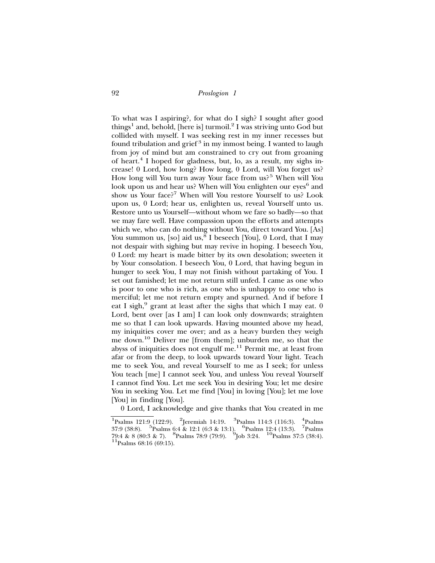To what was I aspiring?, for what do I sigh? I sought after good things<sup>1</sup> and, behold, [here is] turmoil.<sup>2</sup> I was striving unto God but collided with myself. I was seeking rest in my inner recesses but found tribulation and grief<sup>3</sup> in my inmost being. I wanted to laugh from joy of mind but am constrained to cry out from groaning of heart.<sup>4</sup> I hoped for gladness, but, lo, as a result, my sighs increase! 0 Lord, how long? How long, 0 Lord, will You forget us? How long will You turn away Your face from us?<sup>5</sup> When will You look upon us and hear us? When will You enlighten our eyes<sup>6</sup> and show us Your face?<sup>7</sup> When will You restore Yourself to us? Look upon us, 0 Lord; hear us, enlighten us, reveal Yourself unto us. Restore unto us Yourself—without whom we fare so badly—so that we may fare well. Have compassion upon the efforts and attempts which we, who can do nothing without You, direct toward You. [As] You summon us,  $[so]$  aid us,<sup>8</sup> I beseech  $[You]$ , 0 Lord, that I may not despair with sighing but may revive in hoping. I beseech You, 0 Lord: my heart is made bitter by its own desolation; sweeten it by Your consolation. I beseech You, 0 Lord, that having begun in hunger to seek You, I may not finish without partaking of You. I set out famished; let me not return still unfed. I came as one who is poor to one who is rich, as one who is unhappy to one who is merciful; let me not return empty and spurned. And if before I eat I sigh,<sup>9</sup> grant at least after the sighs that which I may eat. 0 Lord, bent over [as I am] I can look only downwards; straighten me so that I can look upwards. Having mounted above my head, my iniquities cover me over; and as a heavy burden they weigh me down.<sup>10</sup> Deliver me [from them]; unburden me, so that the abyss of iniquities does not engulf me. $11$  Permit me, at least from afar or from the deep, to look upwards toward Your light. Teach me to seek You, and reveal Yourself to me as I seek; for unless You teach [me] I cannot seek You, and unless You reveal Yourself I cannot find You. Let me seek You in desiring You; let me desire You in seeking You. Let me find [You] in loving [You]; let me love [You] in finding [You].

0 Lord, I acknowledge and give thanks that You created in me

<sup>&</sup>lt;sup>1</sup>Psalms 121:9 (122:9). <sup>2</sup>Jeremiah 14:19. <sup>3</sup>Psalms 114:3 (116:3). <sup>4</sup>Psalms 37:9 (38:8). <sup>5</sup>Psalms 6:4 & 12:1 (6:3 & 13:1). <sup>6</sup>Psalms 12:4 (13:3). <sup>7</sup>Psalms 79:4 & 8 (80:3 & 7). <sup>8</sup>Psalms 78:9 (79:9). <sup>9</sup>Job 3:24. <sup>10</sup>Psalms 37:5 (38:4). <sup>11</sup>Psalms 68:16 (69:15).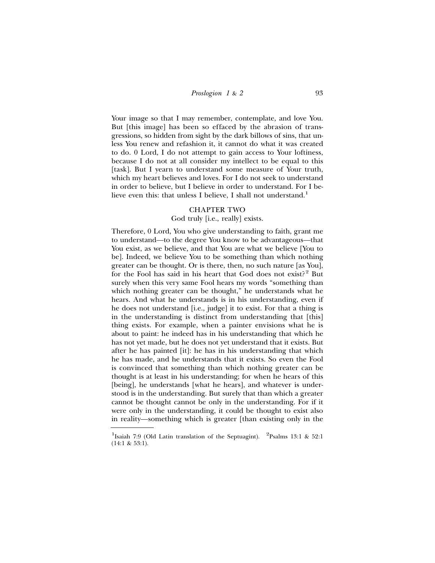Your image so that I may remember, contemplate, and love You. But [this image] has been so effaced by the abrasion of transgressions, so hidden from sight by the dark billows of sins, that unless You renew and refashion it, it cannot do what it was created to do. 0 Lord, I do not attempt to gain access to Your loftiness, because I do not at all consider my intellect to be equal to this [task]. But I yearn to understand some measure of Your truth, which my heart believes and loves. For I do not seek to understand in order to believe, but I believe in order to understand. For I believe even this: that unless I believe, I shall not understand.<sup>1</sup>

## CHAPTER TWO

# God truly [i.e., really] exists.

Therefore, 0 Lord, You who give understanding to faith, grant me to understand—to the degree You know to be advantageous—that You exist, as we believe, and that You are what we believe [You to be]. Indeed, we believe You to be something than which nothing greater can be thought. Or is there, then, no such nature [as You], for the Fool has said in his heart that God does not exist?<sup>2</sup> But surely when this very same Fool hears my words "something than which nothing greater can be thought," he understands what he hears. And what he understands is in his understanding, even if he does not understand [i.e., judge] it to exist. For that a thing is in the understanding is distinct from understanding that [this] thing exists. For example, when a painter envisions what he is about to paint: he indeed has in his understanding that which he has not yet made, but he does not yet understand that it exists. But after he has painted [it]: he has in his understanding that which he has made, and he understands that it exists. So even the Fool is convinced that something than which nothing greater can be thought is at least in his understanding; for when he hears of this [being], he understands [what he hears], and whatever is understood is in the understanding. But surely that than which a greater cannot be thought cannot be only in the understanding. For if it were only in the understanding, it could be thought to exist also in reality—something which is greater [than existing only in the

<sup>&</sup>lt;sup>1</sup>Isaiah 7:9 (Old Latin translation of the Septuagint). <sup>2</sup>Psalms 13:1 & 52:1 (14:1 & 53:1).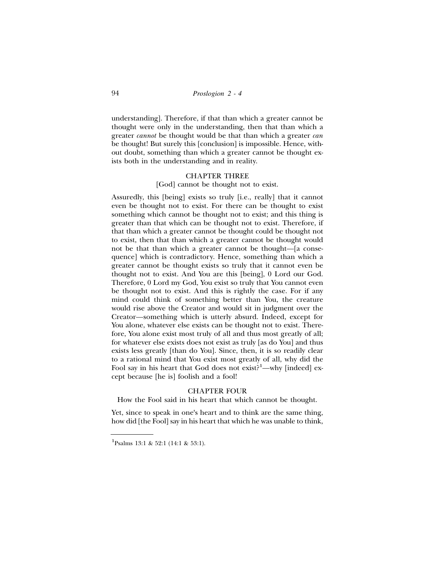understanding]. Therefore, if that than which a greater cannot be thought were only in the understanding, then that than which a greater *cannot* be thought would be that than which a greater *can* be thought! But surely this [conclusion] is impossible. Hence, without doubt, something than which a greater cannot be thought exists both in the understanding and in reality.

# CHAPTER THREE

## [God] cannot be thought not to exist.

Assuredly, this [being] exists so truly [i.e., really] that it cannot even be thought not to exist. For there can be thought to exist something which cannot be thought not to exist; and this thing is greater than that which can be thought not to exist. Therefore, if that than which a greater cannot be thought could be thought not to exist, then that than which a greater cannot be thought would not be that than which a greater cannot be thought—[a consequence] which is contradictory. Hence, something than which a greater cannot be thought exists so truly that it cannot even be thought not to exist. And You are this [being], 0 Lord our God. Therefore, 0 Lord my God, You exist so truly that You cannot even be thought not to exist. And this is rightly the case. For if any mind could think of something better than You, the creature would rise above the Creator and would sit in judgment over the Creator—something which is utterly absurd. Indeed, except for You alone, whatever else exists can be thought not to exist. Therefore, You alone exist most truly of all and thus most greatly of all; for whatever else exists does not exist as truly [as do You] and thus exists less greatly [than do You]. Since, then, it is so readily clear to a rational mind that You exist most greatly of all, why did the Fool say in his heart that God does not exist?<sup>1</sup>-why [indeed] except because [he is] foolish and a fool!

# CHAPTER FOUR

How the Fool said in his heart that which cannot be thought.

Yet, since to speak in one's heart and to think are the same thing, how did [the Fool] say in his heart that which he was unable to think,

<sup>&</sup>lt;sup>1</sup>Psalms 13:1 & 52:1 (14:1 & 53:1).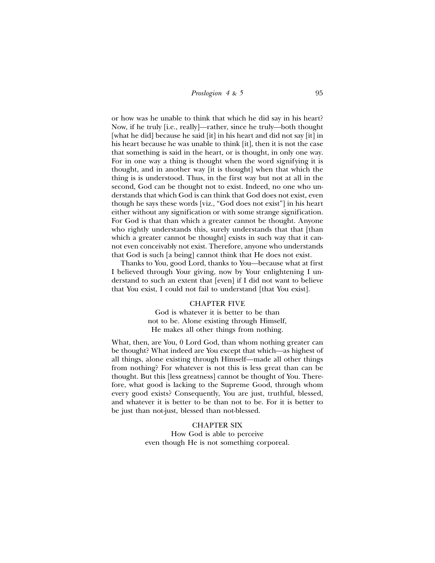or how was he unable to think that which he did say in his heart? Now, if he truly [i.e., really]—rather, since he truly—both thought [what he did] because he said [it] in his heart and did not say [it] in his heart because he was unable to think [it], then it is not the case that something is said in the heart, or is thought, in only one way. For in one way a thing is thought when the word signifying it is thought, and in another way [it is thought] when that which the thing is is understood. Thus, in the first way but not at all in the second, God can be thought not to exist. Indeed, no one who understands that which God is can think that God does not exist, even though he says these words [viz., "God does not exist"] in his heart either without any signification or with some strange signification. For God is that than which a greater cannot be thought. Anyone who rightly understands this, surely understands that that [than which a greater cannot be thought] exists in such way that it cannot even conceivably not exist. Therefore, anyone who understands that God is such [a being] cannot think that He does not exist.

Thanks to You, good Lord, thanks to You—because what at first I believed through Your giving, now by Your enlightening I understand to such an extent that [even] if I did not want to believe that You exist, I could not fail to understand [that You exist].

## CHAPTER FIVE

God is whatever it is better to be than not to be. Alone existing through Himself, He makes all other things from nothing.

What, then, are You, 0 Lord God, than whom nothing greater can be thought? What indeed are You except that which—as highest of all things, alone existing through Himself—made all other things from nothing? For whatever is not this is less great than can be thought. But this [less greatness] cannot be thought of You. Therefore, what good is lacking to the Supreme Good, through whom every good exists? Consequently, You are just, truthful, blessed, and whatever it is better to be than not to be. For it is better to be just than not-just, blessed than not-blessed.

# CHAPTER SIX How God is able to perceive even though He is not something corporeal.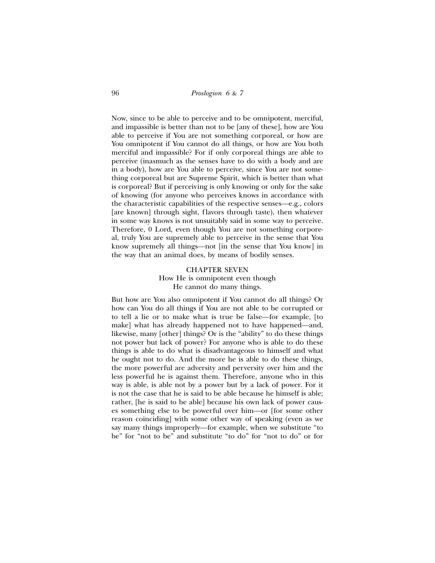96 *Proslogion 6* & *7*

Now, since to be able to perceive and to be omnipotent, merciful, and impassible is better than not to be [any of these], how are You able to perceive if You are not something corporeal, or how are You omnipotent if You cannot do all things, or how are You both merciful and impassible? For if only corporeal things are able to perceive (inasmuch as the senses have to do with a body and are in a body), how are You able to perceive, since You are not something corporeal but are Supreme Spirit, which is better than what is corporeal? But if perceiving is only knowing or only for the sake of knowing (for anyone who perceives knows in accordance with the characteristic capabilities of the respective senses—e.g., colors [are known] through sight, flavors through taste), then whatever in some way knows is not unsuitably said in some way to perceive. Therefore, 0 Lord, even though You are not something corporeal, truly You are supremely able to perceive in the sense that You know supremely all things—not [in the sense that You know] in the way that an animal does, by means of bodily senses.

# CHAPTER SEVEN How He is omnipotent even though He cannot do many things.

But how are You also omnipotent if You cannot do all things? Or how can You do all things if You are not able to be corrupted or to tell a lie or to make what is true be false—for example, [to make] what has already happened not to have happened—and, likewise, many [other] things? Or is the "ability" to do these things not power but lack of power? For anyone who is able to do these things is able to do what is disadvantageous to himself and what he ought not to do. And the more he is able to do these things, the more powerful are adversity and perversity over him and the less powerful he is against them. Therefore, anyone who in this way is able, is able not by a power but by a lack of power. For it is not the case that he is said to be able because he himself is able; rather, [he is said to be able] because his own lack of power causes something else to be powerful over him—or [for some other reason coinciding] with some other way of speaking (even as we say many things improperly—for example, when we substitute "to be" for "not to be" and substitute "to do" for "not to do" or for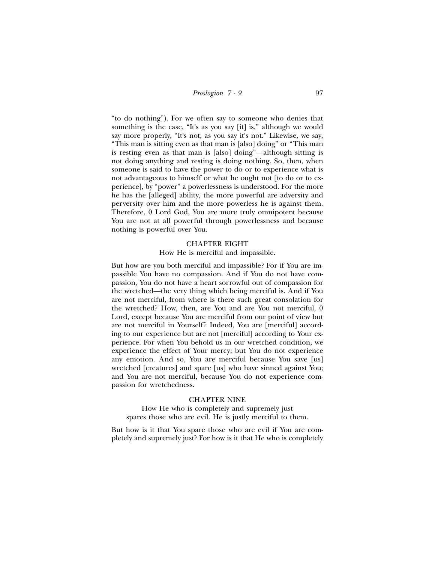"to do nothing"). For we often say to someone who denies that something is the case, "It's as you say [it] is," although we would say more properly, "It's not, as you say it's not." Likewise, we say, "This man is sitting even as that man is [also] doing" or "This man is resting even as that man is [also] doing"—although sitting is not doing anything and resting is doing nothing. So, then, when someone is said to have the power to do or to experience what is not advantageous to himself or what he ought not [to do or to experience], by "power" a powerlessness is understood. For the more he has the [alleged] ability, the more powerful are adversity and perversity over him and the more powerless he is against them. Therefore, 0 Lord God, You are more truly omnipotent because You are not at all powerful through powerlessness and because nothing is powerful over You.

#### CHAPTER EIGHT

#### How He is merciful and impassible.

But how are you both merciful and impassible? For if You are impassible You have no compassion. And if You do not have compassion, You do not have a heart sorrowful out of compassion for the wretched—the very thing which being merciful is. And if You are not merciful, from where is there such great consolation for the wretched? How, then, are You and are You not merciful, 0 Lord, except because You are merciful from our point of view but are not merciful in Yourself? Indeed, You are [merciful] according to our experience but are not [merciful] according to Your experience. For when You behold us in our wretched condition, we experience the effect of Your mercy; but You do not experience any emotion. And so, You are merciful because You save [us] wretched [creatures] and spare [us] who have sinned against You; and You are not merciful, because You do not experience compassion for wretchedness.

# CHAPTER NINE

How He who is completely and supremely just spares those who are evil. He is justly merciful to them.

But how is it that You spare those who are evil if You are completely and supremely just? For how is it that He who is completely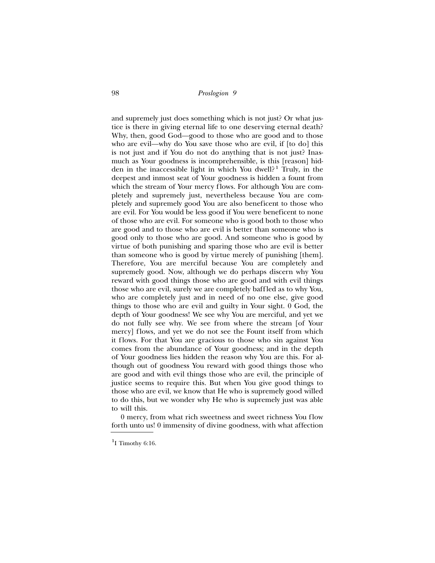and supremely just does something which is not just? Or what justice is there in giving eternal life to one deserving eternal death? Why, then, good God—good to those who are good and to those who are evil—why do You save those who are evil, if [to do] this is not just and if You do not do anything that is not just? Inasmuch as Your goodness is incomprehensible, is this [reason] hidden in the inaccessible light in which You dwell?<sup>1</sup> Truly, in the deepest and inmost seat of Your goodness is hidden a fount from which the stream of Your mercy flows. For although You are completely and supremely just, nevertheless because You are completely and supremely good You are also beneficent to those who are evil. For You would be less good if You were beneficent to none of those who are evil. For someone who is good both to those who are good and to those who are evil is better than someone who is good only to those who are good. And someone who is good by virtue of both punishing and sparing those who are evil is better than someone who is good by virtue merely of punishing [them]. Therefore, You are merciful because You are completely and supremely good. Now, although we do perhaps discern why You reward with good things those who are good and with evil things those who are evil, surely we are completely baffled as to why You, who are completely just and in need of no one else, give good things to those who are evil and guilty in Your sight. 0 God, the depth of Your goodness! We see why You are merciful, and yet we do not fully see why. We see from where the stream [of Your mercy] flows, and yet we do not see the Fount itself from which it flows. For that You are gracious to those who sin against You comes from the abundance of Your goodness; and in the depth of Your goodness lies hidden the reason why You are this. For although out of goodness You reward with good things those who are good and with evil things those who are evil, the principle of justice seems to require this. But when You give good things to those who are evil, we know that He who is supremely good willed to do this, but we wonder why He who is supremely just was able to will this.

0 mercy, from what rich sweetness and sweet richness You flow forth unto us! 0 immensity of divine goodness, with what affection

 $1$ I Timothy 6:16.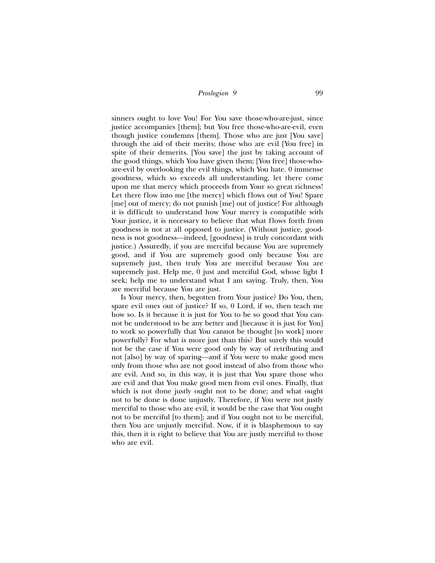sinners ought to love You! For You save those-who-are-just, since justice accompanies [them]; but You free those-who-are-evil, even though justice condemns [them]. Those who are just [You save] through the aid of their merits; those who are evil [You free] in spite of their demerits. [You save] the just by taking account of the good things, which You have given them; [You free] those-whoare-evil by overlooking the evil things, which You hate. 0 immense goodness, which so exceeds all understanding, let there come upon me that mercy which proceeds from Your so great richness! Let there flow into me [the mercy] which flows out of You! Spare [me] out of mercy; do not punish [me] out of justice! For although it is difficult to understand how Your mercy is compatible with Your justice, it is necessary to believe that what flows forth from goodness is not at all opposed to justice. (Without justice, goodness is not goodness—indeed, [goodness] is truly concordant with justice.) Assuredly, if you are merciful because You are supremely good, and if You are supremely good only because You are supremely just, then truly You are merciful because You are supremely just. Help me, 0 just and merciful God, whose light I seek; help me to understand what I am saying. Truly, then, You are merciful because You are just.

Is Your mercy, then, begotten from Your justice? Do You, then, spare evil ones out of justice? If so, 0 Lord, if so, then teach me how so. Is it because it is just for You to be so good that You cannot be understood to be any better and [because it is just for You] to work so powerfully that You cannot be thought [to work] more powerfully? For what is more just than this? But surely this would not be the case if You were good only by way of retributing and not [also] by way of sparing—and if You were to make good men only from those who are not good instead of also from those who are evil. And so, in this way, it is just that You spare those who are evil and that You make good men from evil ones. Finally, that which is not done justly ought not to be done; and what ought not to be done is done unjustly. Therefore, if You were not justly merciful to those who are evil, it would be the case that You ought not to be merciful [to them]; and if You ought not to be merciful, then You are unjustly merciful. Now, if it is blasphemous to say this, then it is right to believe that You are justly merciful to those who are evil.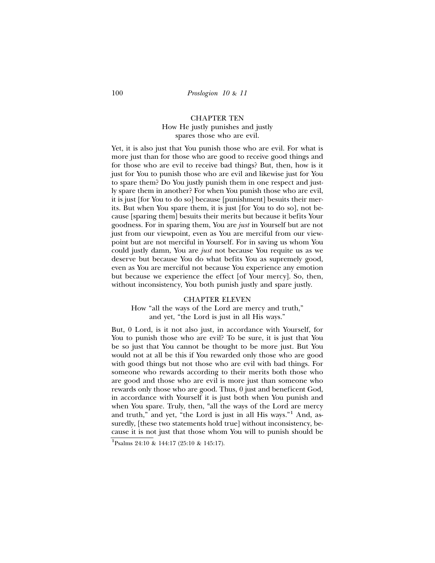# CHAPTER TEN How He justly punishes and justly spares those who are evil.

Yet, it is also just that You punish those who are evil. For what is more just than for those who are good to receive good things and for those who are evil to receive bad things? But, then, how is it just for You to punish those who are evil and likewise just for You to spare them? Do You justly punish them in one respect and justly spare them in another? For when You punish those who are evil, it is just [for You to do so] because [punishment] besuits their merits. But when You spare them, it is just [for You to do so], not because [sparing them] besuits their merits but because it befits Your goodness. For in sparing them, You are *just* in Yourself but are not just from our viewpoint, even as You are merciful from our viewpoint but are not merciful in Yourself. For in saving us whom You could justly damn, You are *just* not because You requite us as we deserve but because You do what befits You as supremely good, even as You are merciful not because You experience any emotion but because we experience the effect [of Your mercy]. So, then, without inconsistency, You both punish justly and spare justly.

#### CHAPTER ELEVEN

How "all the ways of the Lord are mercy and truth," and yet, "the Lord is just in all His ways."

But, 0 Lord, is it not also just, in accordance with Yourself, for You to punish those who are evil? To be sure, it is just that You be so just that You cannot be thought to be more just. But You would not at all be this if You rewarded only those who are good with good things but not those who are evil with bad things. For someone who rewards according to their merits both those who are good and those who are evil is more just than someone who rewards only those who are good. Thus, 0 just and beneficent God, in accordance with Yourself it is just both when You punish and when You spare. Truly, then, "all the ways of the Lord are mercy and truth," and yet, "the Lord is just in all His ways."<sup>1</sup> And, assuredly, [these two statements hold true] without inconsistency, because it is not just that those whom You will to punish should be

<sup>1</sup> Psalms 24:10 & 144:17 (25:10 & 145:17).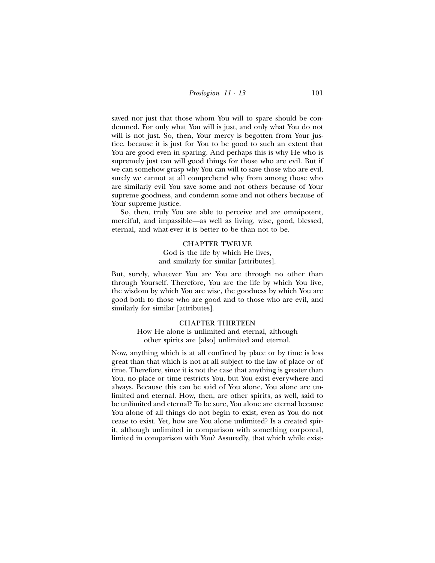saved nor just that those whom You will to spare should be condemned. For only what You will is just, and only what You do not will is not just. So, then, Your mercy is begotten from Your justice, because it is just for You to be good to such an extent that You are good even in sparing. And perhaps this is why He who is supremely just can will good things for those who are evil. But if we can somehow grasp why You can will to save those who are evil, surely we cannot at all comprehend why from among those who are similarly evil You save some and not others because of Your supreme goodness, and condemn some and not others because of Your supreme justice.

So, then, truly You are able to perceive and are omnipotent, merciful, and impassible—as well as living, wise, good, blessed, eternal, and what-ever it is better to be than not to be.

# CHAPTER TWELVE God is the life by which He lives, and similarly for similar [attributes].

But, surely, whatever You are You are through no other than through Yourself. Therefore, You are the life by which You live, the wisdom by which You are wise, the goodness by which You are good both to those who are good and to those who are evil, and similarly for similar [attributes].

# CHAPTER THIRTEEN

How He alone is unlimited and eternal, although other spirits are [also] unlimited and eternal.

Now, anything which is at all confined by place or by time is less great than that which is not at all subject to the law of place or of time. Therefore, since it is not the case that anything is greater than You, no place or time restricts You, but You exist everywhere and always. Because this can be said of You alone, You alone are unlimited and eternal. How, then, are other spirits, as well, said to be unlimited and eternal? To be sure, You alone are eternal because You alone of all things do not begin to exist, even as You do not cease to exist. Yet, how are You alone unlimited? Is a created spirit, although unlimited in comparison with something corporeal, limited in comparison with You? Assuredly, that which while exist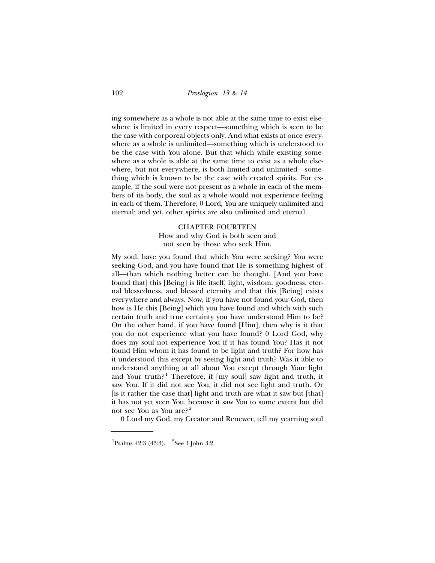ing somewhere as a whole is not able at the same time to exist elsewhere is limited in every respect—something which is seen to be the case with corporeal objects only. And what exists at once everywhere as a whole is unlimited—something which is understood to be the case with You alone. But that which while existing somewhere as a whole is able at the same time to exist as a whole elsewhere, but not everywhere, is both limited and unlimited—something which is known to be the case with created spirits. For example, if the soul were not present as a whole in each of the members of its body, the soul as a whole would not experience feeling in each of them. Therefore, 0 Lord, You are uniquely unlimited and eternal; and yet, other spirits are also unlimited and eternal.

# CHAPTER FOURTEEN How and why God is both seen and not seen by those who seek Him.

My soul, have you found that which You were seeking? You were seeking God, and you have found that He is something highest of all—than which nothing better can be thought. [And you have found that] this [Being] is life itself, light, wisdom, goodness, eternal blessedness, and blessed eternity and that this [Being] exists everywhere and always. Now, if you have not found your God, then how is He this [Being] which you have found and which with such certain truth and true certainty you have understood Him to be? On the other hand, if you have found [Him], then why is it that you do not experience what you have found? 0 Lord God, why does my soul not experience You if it has found You? Has it not found Him whom it has found to be light and truth? For how has it understood this except by seeing light and truth? Was it able to understand anything at all about You except through Your light and Your truth?<sup>1</sup> Therefore, if  $[my$ soul]$  saw light and truth, it saw You. If it did not see You, it did not see light and truth. Or [is it rather the case that] light and truth are what it saw but [that] it has not yet seen You, because it saw You to some extent but did not see You as You are?<sup>2</sup>

0 Lord my God, my Creator and Renewer, tell my yearning soul

<sup>&</sup>lt;sup>1</sup>Psalms 42:3 (43:3). <sup>2</sup>See I John 3:2.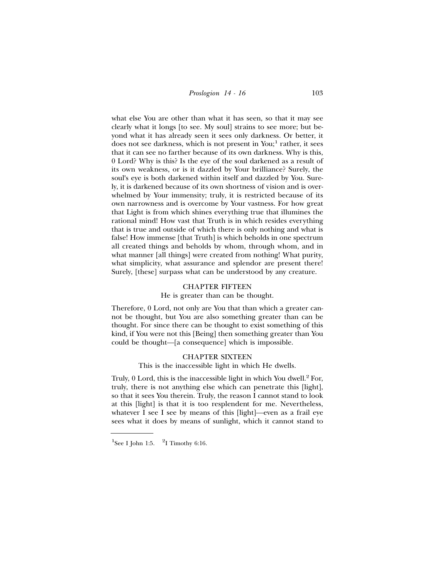what else You are other than what it has seen, so that it may see clearly what it longs [to see. My soul] strains to see more; but beyond what it has already seen it sees only darkness. Or better, it does not see darkness, which is not present in You;<sup>1</sup> rather, it sees that it can see no farther because of its own darkness. Why is this, 0 Lord? Why is this? Is the eye of the soul darkened as a result of its own weakness, or is it dazzled by Your brilliance? Surely, the soul's eye is both darkened within itself and dazzled by You. Surely, it is darkened because of its own shortness of vision and is overwhelmed by Your immensity; truly, it is restricted because of its own narrowness and is overcome by Your vastness. For how great that Light is from which shines everything true that illumines the rational mind! How vast that Truth is in which resides everything that is true and outside of which there is only nothing and what is false! How immense [that Truth] is which beholds in one spectrum all created things and beholds by whom, through whom, and in what manner [all things] were created from nothing! What purity, what simplicity, what assurance and splendor are present there! Surely, [these] surpass what can be understood by any creature.

## CHAPTER FIFTEEN

# He is greater than can be thought.

Therefore, 0 Lord, not only are You that than which a greater cannot be thought, but You are also something greater than can be thought. For since there can be thought to exist something of this kind, if You were not this [Being] then something greater than You could be thought—[a consequence] which is impossible.

## CHAPTER SIXTEEN

This is the inaccessible light in which He dwells.

Truly,  $0$  Lord, this is the inaccessible light in which You dwell. $2$  For, truly, there is not anything else which can penetrate this [light], so that it sees You therein. Truly, the reason I cannot stand to look at this [light] is that it is too resplendent for me. Nevertheless, whatever I see I see by means of this [light]—even as a frail eye sees what it does by means of sunlight, which it cannot stand to

<sup>&</sup>lt;sup>1</sup>See I John 1:5. <sup>2</sup>I Timothy 6:16.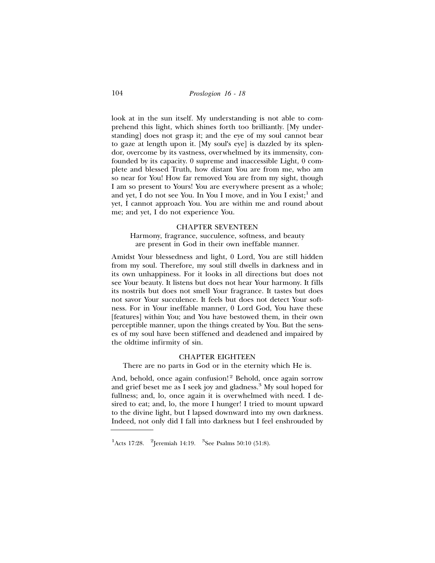look at in the sun itself. My understanding is not able to comprehend this light, which shines forth too brilliantly. [My understanding] does not grasp it; and the eye of my soul cannot bear to gaze at length upon it. [My soul's eye] is dazzled by its splendor, overcome by its vastness, overwhelmed by its immensity, confounded by its capacity. 0 supreme and inaccessible Light, 0 complete and blessed Truth, how distant You are from me, who am so near for You! How far removed You are from my sight, though I am so present to Yours! You are everywhere present as a whole; and yet, I do not see You. In You I move, and in You I exist;<sup>1</sup> and yet, I cannot approach You. You are within me and round about me; and yet, I do not experience You.

#### CHAPTER SEVENTEEN

Harmony, fragrance, succulence, softness, and beauty are present in God in their own ineffable manner.

Amidst Your blessedness and light, 0 Lord, You are still hidden from my soul. Therefore, my soul still dwells in darkness and in its own unhappiness. For it looks in all directions but does not see Your beauty. It listens but does not hear Your harmony. It fills its nostrils but does not smell Your fragrance. It tastes but does not savor Your succulence. It feels but does not detect Your softness. For in Your ineffable manner, 0 Lord God, You have these [features] within You; and You have bestowed them, in their own perceptible manner, upon the things created by You. But the senses of my soul have been stiffened and deadened and impaired by the oldtime infirmity of sin.

## CHAPTER EIGHTEEN

There are no parts in God or in the eternity which He is.

And, behold, once again confusion!<sup>2</sup> Behold, once again sorrow and grief beset me as I seek joy and gladness.<sup>3</sup> My soul hoped for fullness; and, lo, once again it is overwhelmed with need. I desired to eat; and, lo, the more I hunger! I tried to mount upward to the divine light, but I lapsed downward into my own darkness. Indeed, not only did I fall into darkness but I feel enshrouded by

<sup>&</sup>lt;sup>1</sup>Acts 17:28. <sup>2</sup>Jeremiah 14:19. <sup>3</sup>See Psalms 50:10 (51:8).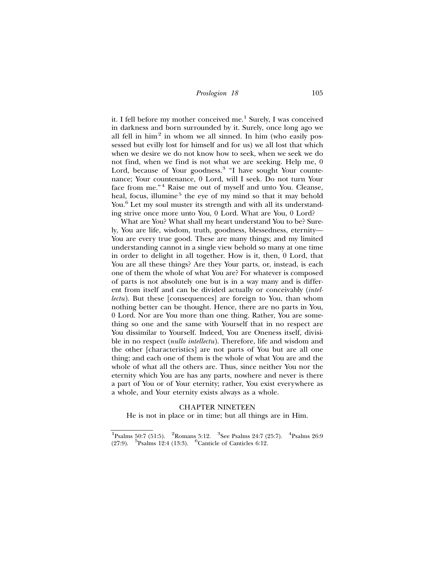*Proslogion 18* 105

it. I fell before my mother conceived me.<sup>1</sup> Surely, I was conceived in darkness and born surrounded by it. Surely, once long ago we all fell in him<sup>2</sup> in whom we all sinned. In him (who easily possessed but evilly lost for himself and for us) we all lost that which when we desire we do not know how to seek, when we seek we do not find, when we find is not what we are seeking. Help me, 0 Lord, because of Your goodness.<sup>3</sup> "I have sought Your countenance; Your countenance, 0 Lord, will I seek. Do not turn Your face from me."<sup>4</sup> Raise me out of myself and unto You. Cleanse, heal, focus, illumine<sup>5</sup> the eye of my mind so that it may behold You.<sup>6</sup> Let my soul muster its strength and with all its understanding strive once more unto You, 0 Lord. What are You, 0 Lord?

What are You? What shall my heart understand You to be? Surely, You are life, wisdom, truth, goodness, blessedness, eternity— You are every true good. These are many things; and my limited understanding cannot in a single view behold so many at one time in order to delight in all together. How is it, then, 0 Lord, that You are all these things? Are they Your parts, or, instead, is each one of them the whole of what You are? For whatever is composed of parts is not absolutely one but is in a way many and is different from itself and can be divided actually or conceivably (*intellectu*). But these [consequences] are foreign to You, than whom nothing better can be thought. Hence, there are no parts in You, 0 Lord. Nor are You more than one thing. Rather, You are something so one and the same with Yourself that in no respect are You dissimilar to Yourself. Indeed, You are Oneness itself, divisible in no respect (*nullo intellectu*). Therefore, life and wisdom and the other [characteristics] are not parts of You but are all one thing; and each one of them is the whole of what You are and the whole of what all the others are. Thus, since neither You nor the eternity which You are has any parts, nowhere and never is there a part of You or of Your eternity; rather, You exist everywhere as a whole, and Your eternity exists always as a whole.

# CHAPTER NINETEEN

He is not in place or in time; but all things are in Him.

<sup>&</sup>lt;sup>1</sup>Psalms 50:7 (51:5). <sup>2</sup>Romans 5:12. <sup>3</sup>See Psalms 24:7 (25:7). <sup>4</sup>Psalms 26:9 (27:9). <sup>5</sup>Psalms 12:4 (13:3). <sup>6</sup>Canticle of Canticles 6:12.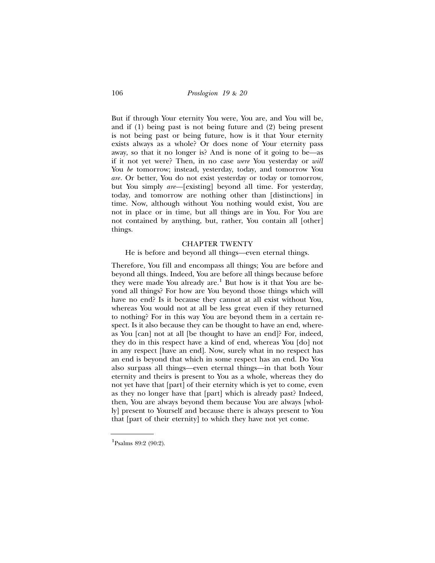But if through Your eternity You were, You are, and You will be, and if (1) being past is not being future and (2) being present is not being past or being future, how is it that Your eternity exists always as a whole? Or does none of Your eternity pass away, so that it no longer is? And is none of it going to be—as if it not yet were? Then, in no case *were* You yesterday or *will* You *be* tomorrow; instead, yesterday, today, and tomorrow You *are*. Or better, You do not exist yesterday or today or tomorrow, but You simply *are*—[existing] beyond all time. For yesterday, today, and tomorrow are nothing other than [distinctions] in time. Now, although without You nothing would exist, You are not in place or in time, but all things are in You. For You are not contained by anything, but, rather, You contain all [other] things.

#### CHAPTER TWENTY

#### He is before and beyond all things—even eternal things.

Therefore, You fill and encompass all things; You are before and beyond all things. Indeed, You are before all things because before they were made You already  $\text{are}$ .<sup>1</sup> But how is it that You are beyond all things? For how are You beyond those things which will have no end? Is it because they cannot at all exist without You, whereas You would not at all be less great even if they returned to nothing? For in this way You are beyond them in a certain respect. Is it also because they can be thought to have an end, whereas You [can] not at all [be thought to have an end]? For, indeed, they do in this respect have a kind of end, whereas You [do] not in any respect [have an end]. Now, surely what in no respect has an end is beyond that which in some respect has an end. Do You also surpass all things—even eternal things—in that both Your eternity and theirs is present to You as a whole, whereas they do not yet have that [part] of their eternity which is yet to come, even as they no longer have that [part] which is already past? Indeed, then, You are always beyond them because You are always [wholly] present to Yourself and because there is always present to You that [part of their eternity] to which they have not yet come.

<sup>1</sup> Psalms 89:2 (90:2).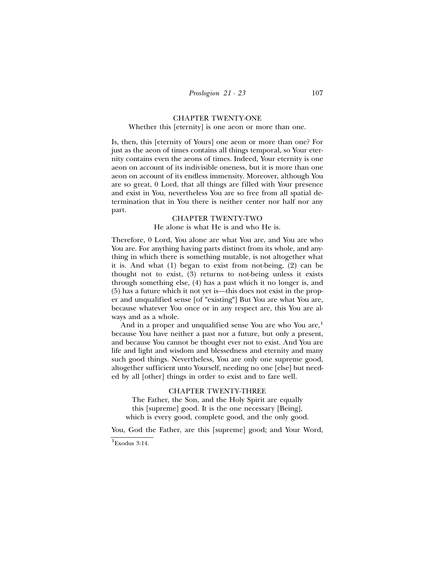#### CHAPTER TWENTY-ONE

## Whether this [eternity] is one aeon or more than one.

Is, then, this [eternity of Yours] one aeon or more than one? For just as the aeon of times contains all things temporal, so Your eternity contains even the aeons of times. Indeed, Your eternity is one aeon on account of its indivisible oneness, but it is more than one aeon on account of its endless immensity. Moreover, although You are so great, 0 Lord, that all things are filled with Your presence and exist in You, nevertheless You are so free from all spatial determination that in You there is neither center nor half nor any part.

# CHAPTER TWENTY-TWO

## He alone is what He is and who He is.

Therefore, 0 Lord, You alone are what You are, and You are who You are. For anything having parts distinct from its whole, and anything in which there is something mutable, is not altogether what it is. And what (1) began to exist from not-being, (2) can be thought not to exist, (3) returns to not-being unless it exists through something else, (4) has a past which it no longer is, and (5) has a future which it not yet is—this does not exist in the proper and unqualified sense [of "existing"] But You are what You are, because whatever You once or in any respect are, this You are always and as a whole.

And in a proper and unqualified sense You are who You  $\text{are}$ ,<sup>1</sup> because You have neither a past nor a future, but only a present, and because You cannot be thought ever not to exist. And You are life and light and wisdom and blessedness and eternity and many such good things. Nevertheless, You are only one supreme good, altogether sufficient unto Yourself, needing no one [else] but needed by all [other] things in order to exist and to fare well.

# CHAPTER TWENTY-THREE

The Father, the Son, and the Holy Spirit are equally this [supreme] good. It is the one necessary [Being], which is every good, complete good, and the only good.

You, God the Father, are this [supreme] good; and Your Word,

<sup>1</sup> Exodus 3:14.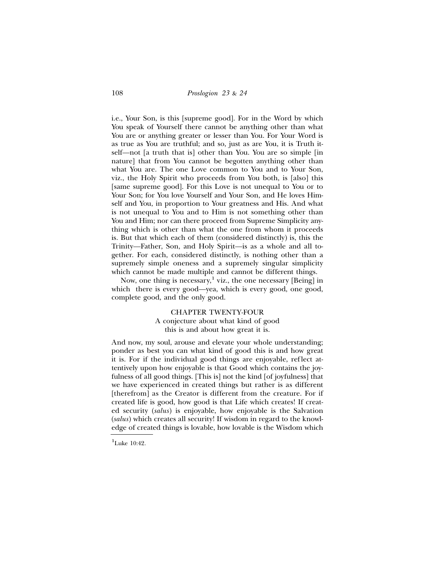108 *Proslogion 23* & *24*

i.e., Your Son, is this [supreme good]. For in the Word by which You speak of Yourself there cannot be anything other than what You are or anything greater or lesser than You. For Your Word is as true as You are truthful; and so, just as are You, it is Truth itself—not [a truth that is] other than You. You are so simple [in nature] that from You cannot be begotten anything other than what You are. The one Love common to You and to Your Son, viz., the Holy Spirit who proceeds from You both, is [also] this [same supreme good]. For this Love is not unequal to You or to Your Son; for You love Yourself and Your Son, and He loves Himself and You, in proportion to Your greatness and His. And what is not unequal to You and to Him is not something other than You and Him; nor can there proceed from Supreme Simplicity anything which is other than what the one from whom it proceeds is. But that which each of them (considered distinctly) is, this the Trinity—Father, Son, and Holy Spirit—is as a whole and all together. For each, considered distinctly, is nothing other than a supremely simple oneness and a supremely singular simplicity which cannot be made multiple and cannot be different things.

Now, one thing is necessary, viz., the one necessary [Being] in which there is every good—yea, which is every good, one good, complete good, and the only good.

## CHAPTER TWENTY-FOUR

A conjecture about what kind of good this is and about how great it is.

And now, my soul, arouse and elevate your whole understanding; ponder as best you can what kind of good this is and how great it is. For if the individual good things are enjoyable, reflect attentively upon how enjoyable is that Good which contains the joyfulness of all good things. [This is] not the kind [of joyfulness] that we have experienced in created things but rather is as different [therefrom] as the Creator is different from the creature. For if created life is good, how good is that Life which creates! If created security (*salus*) is enjoyable, how enjoyable is the Salvation (*salus*) which creates all security! If wisdom in regard to the knowledge of created things is lovable, how lovable is the Wisdom which

<sup>1</sup> Luke 10:42.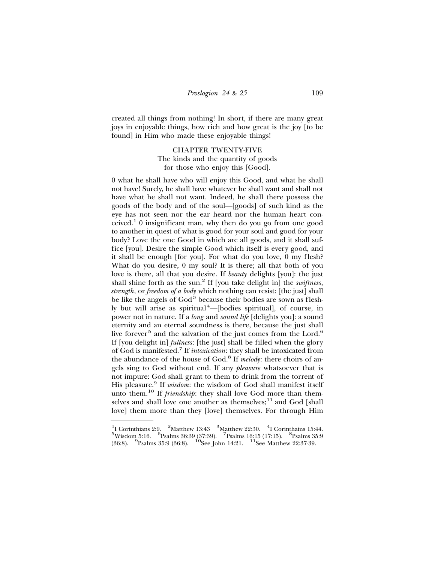created all things from nothing! In short, if there are many great joys in enjoyable things, how rich and how great is the joy [to be found] in Him who made these enjoyable things!

> CHAPTER TWENTY-FIVE The kinds and the quantity of goods for those who enjoy this [Good].

0 what he shall have who will enjoy this Good, and what he shall not have! Surely, he shall have whatever he shall want and shall not have what he shall not want. Indeed, he shall there possess the goods of the body and of the soul—[goods] of such kind as the eye has not seen nor the ear heard nor the human heart conceived.<sup>1</sup> 0 insignificant man, why then do you go from one good to another in quest of what is good for your soul and good for your body? Love the one Good in which are all goods, and it shall suffice [you]. Desire the simple Good which itself is every good, and it shall be enough [for you]. For what do you love, 0 my flesh? What do you desire, 0 my soul? It is there; all that both of you love is there, all that you desire. If *beauty* delights [you]: the just shall shine forth as the sun.2 If [you take delight in] the *swiftness*, *strength*, or *freedom of a body* which nothing can resist: [the just] shall be like the angels of God<sup>3</sup> because their bodies are sown as fleshly but will arise as spiritual<sup>4</sup>-[bodies spiritual], of course, in power not in nature. If a *long* and *sound life* [delights you]: a sound eternity and an eternal soundness is there, because the just shall live forever<sup>5</sup> and the salvation of the just comes from the Lord.<sup>6</sup> If [you delight in] *fullness*: [the just] shall be filled when the glory of God is manifested.7 If *intoxication*: they shall be intoxicated from the abundance of the house of God.8 If *melody*: there choirs of angels sing to God without end. If any *pleasure* whatsoever that is not impure: God shall grant to them to drink from the torrent of His pleasure.<sup>9</sup> If *wisdom*: the wisdom of God shall manifest itself unto them.<sup>10</sup> If *friendship*: they shall love God more than themselves and shall love one another as themselves;<sup>11</sup> and God [shall love] them more than they [love] themselves. For through Him

<sup>&</sup>lt;sup>1</sup> Corinthians 2:9. <sup>2</sup> Matthew 13:43 <sup>3</sup> Matthew 22:30. <sup>4</sup> I Corinthains 15:44. <sup>5</sup> Wisdom 5:16. <sup>6</sup> Psalms 36:39 (37:39). <sup>7</sup> Psalms 16:15 (17:15). <sup>8</sup> Psalms 35:9 (36:8). <sup>9</sup> Psalms 35:9 (36:8). 10See John 14:21. 11See Matthew 22:37-39.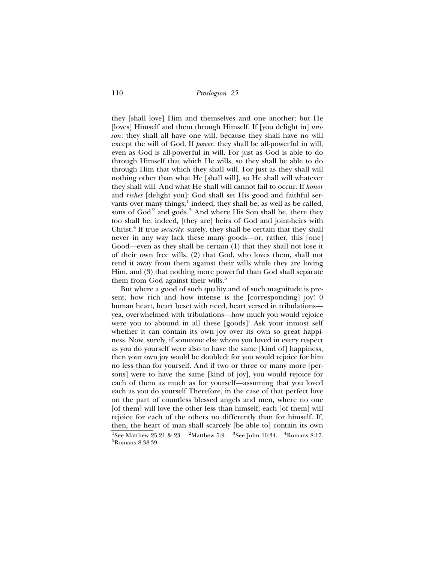they [shall love] Him and themselves and one another; but He [loves] Himself and them through Himself. If [you delight in] *unison*: they shall all have one will, because they shall have no will except the will of God. If *power*: they shall be all-powerful in will, even as God is all-powerful in will. For just as God is able to do through Himself that which He wills, so they shall be able to do through Him that which they shall will. For just as they shall will nothing other than what He [shall will], so He shall will whatever they shall will. And what He shall will cannot fail to occur. If *honor* and *riches* [delight you]: God shall set His good and faithful servants over many things; $<sup>1</sup>$  indeed, they shall be, as well as be called,</sup> sons of  $God<sup>2</sup>$  and gods.<sup>3</sup> And where His Son shall be, there they too shall be; indeed, [they are] heirs of God and joint-heirs with Christ.4 If true *security*: surely, they shall be certain that they shall never in any way lack these many goods—or, rather, this [one] Good—even as they shall be certain (1) that they shall not lose it of their own free wills, (2) that God, who loves them, shall not rend it away from them against their wills while they are loving Him, and (3) that nothing more powerful than God shall separate them from God against their wills.<sup>5</sup>

But where a good of such quality and of such magnitude is present, how rich and how intense is the [corresponding] joy! 0 human heart, heart beset with need, heart versed in tribulations yea, overwhelmed with tribulations—how much you would rejoice were you to abound in all these [goods]! Ask your inmost self whether it can contain its own joy over its own so great happiness. Now, surely, if someone else whom you loved in every respect as you do yourself were also to have the same [kind of] happiness, then your own joy would be doubled; for you would rejoice for him no less than for yourself. And if two or three or many more [persons] were to have the same [kind of joy], you would rejoice for each of them as much as for yourself—assuming that you loved each as you do yourself Therefore, in the case of that perfect love on the part of countless blessed angels and men, where no one [of them] will love the other less than himself, each [of them] will rejoice for each of the others no differently than for himself. If, then, the heart of man shall scarcely [be able to] contain its own <sup>1</sup>See Matthew 25:21 & 23. <sup>2</sup>Matthew 5:9. <sup>3</sup>See John 10:34. <sup>4</sup>Romans 8:17.

Romans 8:38-39.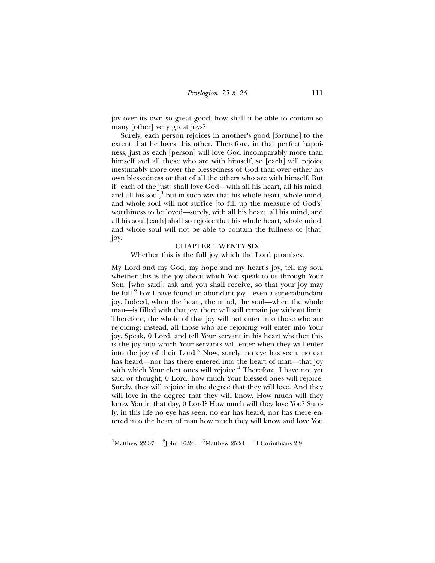joy over its own so great good, how shall it be able to contain so many [other] very great joys?

Surely, each person rejoices in another's good [fortune] to the extent that he loves this other. Therefore, in that perfect happiness, just as each [person] will love God incomparably more than himself and all those who are with himself, so [each] will rejoice inestimably more over the blessedness of God than over either his own blessedness or that of all the others who are with himself. But if [each of the just] shall love God—with all his heart, all his mind, and all his soul, $<sup>1</sup>$  but in such way that his whole heart, whole mind,</sup> and whole soul will not suffice [to fill up the measure of God's] worthiness to be loved—surely, with all his heart, all his mind, and all his soul [each] shall so rejoice that his whole heart, whole mind, and whole soul will not be able to contain the fullness of [that] joy.

# CHAPTER TWENTY-SIX

#### Whether this is the full joy which the Lord promises.

My Lord and my God, my hope and my heart's joy, tell my soul whether this is the joy about which You speak to us through Your Son, [who said]: ask and you shall receive, so that your joy may be full.<sup>2</sup> For I have found an abundant joy—even a superabundant joy. Indeed, when the heart, the mind, the soul—when the whole man—is filled with that joy, there will still remain joy without limit. Therefore, the whole of that joy will not enter into those who are rejoicing; instead, all those who are rejoicing will enter into Your joy. Speak, 0 Lord, and tell Your servant in his heart whether this is the joy into which Your servants will enter when they will enter into the joy of their Lord.<sup>3</sup> Now, surely, no eye has seen, no ear has heard—nor has there entered into the heart of man—that joy with which Your elect ones will rejoice.<sup>4</sup> Therefore, I have not yet said or thought, 0 Lord, how much Your blessed ones will rejoice. Surely, they will rejoice in the degree that they will love. And they will love in the degree that they will know. How much will they know You in that day, 0 Lord? How much will they love You? Surely, in this life no eye has seen, no ear has heard, nor has there entered into the heart of man how much they will know and love You

<sup>&</sup>lt;sup>1</sup>Matthew 22:37. <sup>2</sup>John 16:24. <sup>3</sup>Matthew 25:21. <sup>4</sup>I Corinthians 2:9.